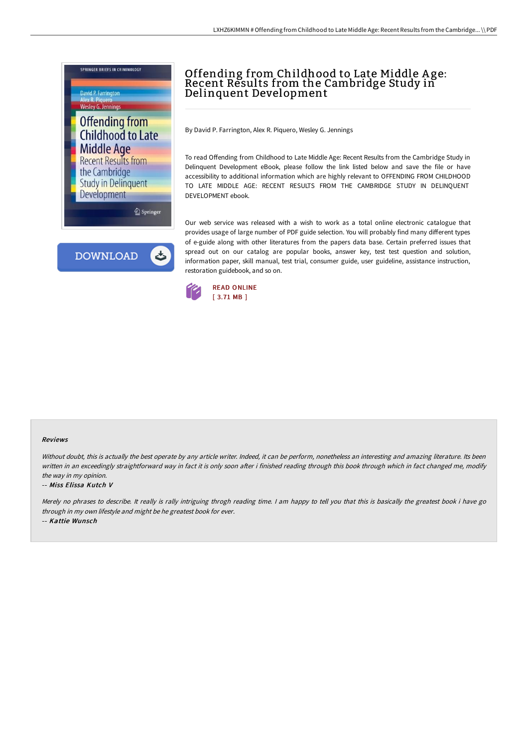

# Offending from Childhood to Late Middle A ge: Recent Results from the Cambridge Study in Delinquent Development

By David P. Farrington, Alex R. Piquero, Wesley G. Jennings

To read Offending from Childhood to Late Middle Age: Recent Results from the Cambridge Study in Delinquent Development eBook, please follow the link listed below and save the file or have accessibility to additional information which are highly relevant to OFFENDING FROM CHILDHOOD TO LATE MIDDLE AGE: RECENT RESULTS FROM THE CAMBRIDGE STUDY IN DELINQUENT DEVELOPMENT ebook.

Our web service was released with a wish to work as a total online electronic catalogue that provides usage of large number of PDF guide selection. You will probably find many different types of e-guide along with other literatures from the papers data base. Certain preferred issues that spread out on our catalog are popular books, answer key, test test question and solution, information paper, skill manual, test trial, consumer guide, user guideline, assistance instruction, restoration guidebook, and so on.



#### Reviews

Without doubt, this is actually the best operate by any article writer. Indeed, it can be perform, nonetheless an interesting and amazing literature. Its been written in an exceedingly straightforward way in fact it is only soon after i finished reading through this book through which in fact changed me, modify the way in my opinion.

#### -- Miss Elissa Kutch V

Merely no phrases to describe. It really is rally intriguing throgh reading time. I am happy to tell you that this is basically the greatest book i have go through in my own lifestyle and might be he greatest book for ever.

-- Kattie Wunsch